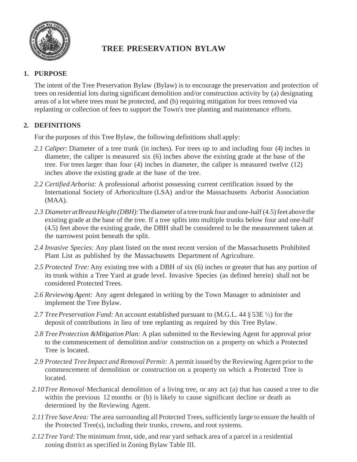

# **TREE PRESERVATION BYLAW**

## **1. PURPOSE**

The intent of the Tree Preservation Bylaw (Bylaw) is to encourage the preservation and protection of trees on residential lots during significant demolition and/or construction activity by (a) designating areas of a lot where trees must be protected, and (b) requiring mitigation for trees removed via replanting or collection of fees to support the Town's tree planting and maintenance efforts.

## **2. DEFINITIONS**

For the purposes of this Tree Bylaw, the following definitions shall apply:

- *2.1 Caliper:* Diameter of a tree trunk (in inches). For trees up to and including four (4) inches in diameter, the caliper is measured six (6) inches above the existing grade at the base of the tree. For trees larger than four (4) inches in diameter, the caliper is measured twelve (12) inches above the existing grade at the base of the tree.
- *2.2 Certified Arborist:* A professional arborist possessing current certification issued by the International Society of Arboriculture (LSA) and/or the Massachusetts Arborist Association (MAA).
- 2.3 *Diameter at Breast Height (DBH)*: The diameter of a tree trunk four and one-half (4.5) feet above the existing grade at the base of the tree. If a tree splits into multiple trunks below four and one-half (4.5) feet above the existing grade, the DBH shall be considered to be the measurement taken at the narrowest point beneath the split.
- *2.4 Invasive Species:* Any plant listed on the most recent version of the Massachusetts Prohibited Plant List as published by the Massachusetts Department of Agriculture.
- *2.5 Protected Tree:*Any existing tree with a DBH of six (6) inches or greater that has any portion of its trunk within a Tree Yard at grade level. Invasive Species (as defined herein) shall not be considered Protected Trees.
- *2.6 Reviewing Agent:* Any agent delegated in writing by the Town Manager to administer and implement the Tree Bylaw.
- *2.7 TreePreservation Fund:* An account established pursuant to (M.G.L. 44 § 53E ½) for the deposit of contributions in lieu of tree replanting as required by this Tree Bylaw.
- *2.8 Tree Protection &Mitigation Plan:* A plan submitted to the Reviewing Agent for approval prior to the commencement of demolition and/or construction on a property on which a Protected Tree is located.
- *2.9 Protected Tree Impact and Removal Permit:* A permit issued by the Reviewing Agent prior to the commencement of demolition or construction on a property on which a Protected Tree is located.
- *2.10Tree Removal·*Mechanical demolition of a living tree, or any act (a) that has caused a tree to die within the previous 12 months or (b) is likely to cause significant decline or death as determined by the Reviewing Agent.
- *2.11Tree SaveArea:* The area surrounding all Protected Trees, sufficiently large to ensure the health of the Protected Tree(s), including their trunks, crowns, and root systems.
- *2.12Tree Yard:*The minimum front, side, and rear yard setback area of a parcel in a residential zoning district as specified in Zoning Bylaw Table III.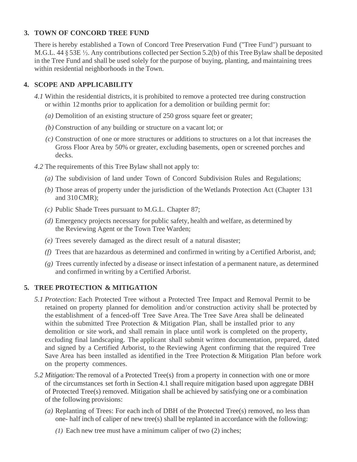#### **3. TOWN OF CONCORD TREE FUND**

There is hereby established a Town of Concord Tree Preservation Fund ("Tree Fund") pursuant to M.G.L. 44 § 53E ½. Any contributions collected per Section 5.2(b) of this Tree Bylaw shall be deposited in the Tree Fund and shall be used solely for the purpose of buying, planting, and maintaining trees within residential neighborhoods in the Town.

### **4. SCOPE AND APPLICABILITY**

- *4.1* Within the residential districts, it is prohibited to remove a protected tree during construction or within 12months prior to application for a demolition or building permit for:
	- *(a)* Demolition of an existing structure of 250 gross square feet or greater;
	- *(b)* Construction of any building or structure on a vacant lot; or
	- *(c)* Construction of one or more structures or additions to structures on a lot that increases the Gross Floor Area by 50% or greater, excluding basements, open or screened porches and decks.
- *4.2* The requirements of this Tree Bylaw shall not apply to:
	- *(a)* The subdivision of land under Town of Concord Subdivision Rules and Regulations;
	- *(b)* Those areas of property under the jurisdiction of the Wetlands Protection Act (Chapter 131 and 310CMR);
	- *(c)* Public Shade Trees pursuant to M.G.L. Chapter 87;
	- *(d)* Emergency projects necessary for public safety, health and welfare, as determined by the Reviewing Agent or the Town Tree Warden;
	- *(e)* Trees severely damaged as the direct result of a natural disaster;
	- *(f)* Trees that are hazardous as determined and confirmed in writing by a Certified Arborist, and;
	- *(g)* Trees currently infected by a disease or insect infestation of a permanent nature, as determined and confirmed in writing by a Certified Arborist.

### **5. TREE PROTECTION & MITIGATION**

- *5.1 Protection:* Each Protected Tree without a Protected Tree Impact and Removal Permit to be retained on property planned for demolition and/or construction activity shall be protected by the establishment of a fenced-off Tree Save Area. The Tree Save Area shall be delineated within the submitted Tree Protection & Mitigation Plan, shall be installed prior to any demolition or site work, and shall remain in place until work is completed on the property, excluding final landscaping. The applicant shall submit written documentation, prepared, dated and signed by a Certified Arborist, to the Reviewing Agent confirming that the required Tree Save Area has been installed as identified in the Tree Protection & Mitigation Plan before work on the property commences.
- *5.2 Mitigation:*The removal of a Protected Tree(s) from a property in connection with one or more of the circumstances set forth in Section 4.1 shall require mitigation based upon aggregate DBH of Protected Tree(s) removed. Mitigation shall be achieved by satisfying one or a combination of the following provisions:
	- *(a)* Replanting of Trees: For each inch of DBH of the Protected Tree(s) removed, no less than one- half inch of caliper of new tree(s) shall be replanted in accordance with the following:
		- *(1)* Each new tree must have a minimum caliper of two (2) inches;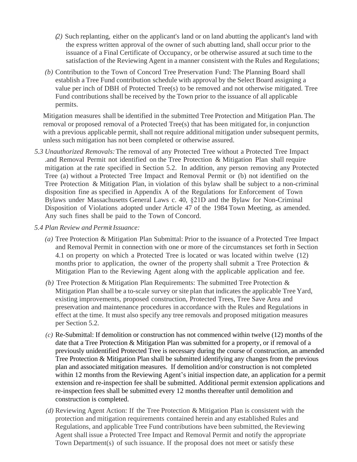- *(2)* Such replanting, either on the applicant's land or on land abutting the applicant's land with the express written approval of the owner of such abutting land, shall occur prior to the issuance of a Final Certificate of Occupancy, or be otherwise assured at such time to the satisfaction of the Reviewing Agent in a manner consistent with the Rules and Regulations;
- *(b)* Contribution to the Town of Concord Tree Preservation Fund: The Planning Board shall establish a Tree Fund contribution schedule with approval by the Select Board assigning a value per inch of DBH of Protected Tree(s) to be removed and not otherwise mitigated. Tree Fund contributions shall be received by the Town prior to the issuance of all applicable permits.

Mitigation measures shall be identified in the submitted Tree Protection and Mitigation Plan. The removal or proposed removal of a Protected Tree(s) that has been mitigated for, in conjunction with a previous applicable permit, shall not require additional mitigation under subsequent permits, unless such mitigation has not been completed or otherwise assured.

- *5.3 Unauthorized Removals:*The removal of any Protected Tree without a Protected Tree Impact .and Removal Permit not identified on the Tree Protection & Mitigation Plan shall require mitigation at the rate specified in Section 5.2. In addition, any person removing any Protected Tree (a) without a Protected Tree Impact and Removal Permit or (b) not identified on the Tree Protection & Mitigation Plan, in violation of this bylaw shall be subject to a non-criminal disposition fine as specified in Appendix A of the Regulations for Enforcement of Town Bylaws under Massachusetts General Laws c. 40, §21D and the Bylaw for Non-Criminal Disposition of Violations adopted under Article 47 of the 1984 Town Meeting, as amended. Any such fines shall be paid to the Town of Concord.
- *5.4 Plan Review and PermitIssuance:*
	- *(a)* Tree Protection & Mitigation Plan Submittal: Prior to the issuance of a Protected Tree Impact and Removal Permit in connection with one or more of the circumstances set forth in Section 4.1 on property on which a Protected Tree is located or was located within twelve (12) months prior to application, the owner of the property shall submit a Tree Protection & Mitigation Plan to the Reviewing Agent along with the applicable application and fee.
	- *(b)* Tree Protection & Mitigation Plan Requirements: The submitted Tree Protection & Mitigation Plan shall be a to-scale survey or site plan that indicates the applicable Tree Yard, existing improvements, proposed construction, Protected Trees, Tree Save Area and preservation and maintenance procedures in accordance with the Rules and Regulations in effect at the time. It must also specify any tree removals and proposed mitigation measures per Section 5.2.
	- *(c)* Re-Submittal: If demolition or construction has not commenced within twelve (12) months of the date that a Tree Protection & Mitigation Plan was submitted for a property, or if removal of a previously unidentified Protected Tree is necessary during the course of construction, an amended Tree Protection & Mitigation Plan shall be submitted identifying any changes from the previous plan and associated mitigation measures. If demolition and/or construction is not completed within 12 months from the Reviewing Agent's initial inspection date, an application for a permit extension and re-inspection fee shall be submitted. Additional permit extension applications and re-inspection fees shall be submitted every 12 months thereafter until demolition and construction is completed.
	- *(d)* Reviewing Agent Action: If the Tree Protection & Mitigation Plan is consistent with the protection and mitigation requirements contained herein and any established Rules and Regulations, and applicable Tree Fund contributions have been submitted, the Reviewing Agent shall issue a Protected Tree Impact and Removal Permit and notify the appropriate Town Department(s) of such issuance. If the proposal does not meet or satisfy these